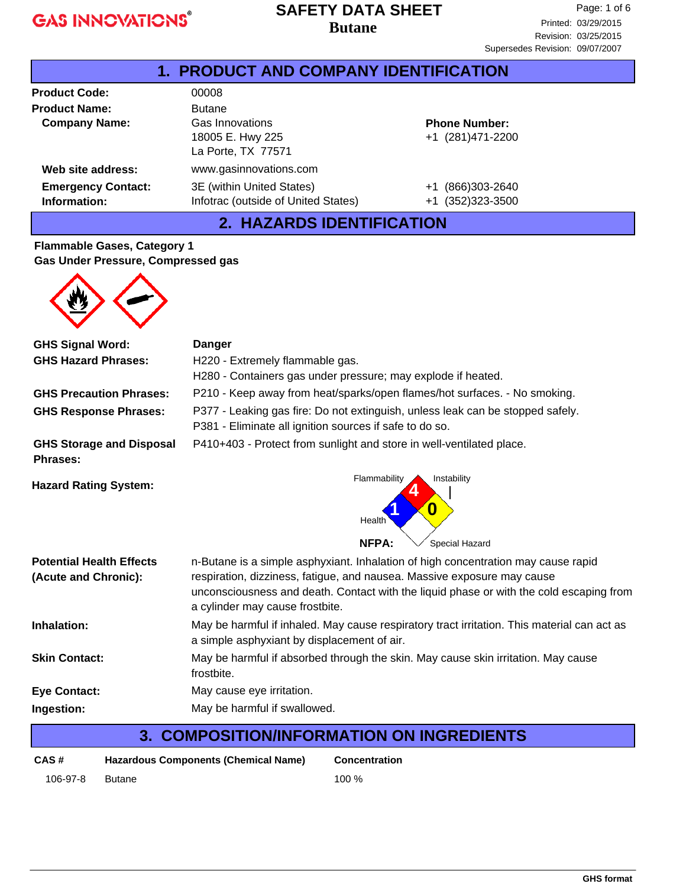### **Butane SAFETY DATA SHEET**

| <b>PRODUCT AND COMPANY IDENTIFICATION</b><br>$1_{-}$ |                                                                  |                                                |  |
|------------------------------------------------------|------------------------------------------------------------------|------------------------------------------------|--|
| <b>Product Code:</b>                                 | 00008                                                            |                                                |  |
| <b>Product Name:</b>                                 | <b>Butane</b>                                                    |                                                |  |
| <b>Company Name:</b>                                 | Gas Innovations<br>18005 E. Hwy 225<br>La Porte, TX 77571        | <b>Phone Number:</b><br>+1 (281)471-2200       |  |
| Web site address:                                    | www.gasinnovations.com                                           |                                                |  |
| <b>Emergency Contact:</b><br>Information:            | 3E (within United States)<br>Infotrac (outside of United States) | (866) 303-2640<br>$+1$<br>(352) 323-3500<br>+1 |  |

## **2. HAZARDS IDENTIFICATION**

#### **Flammable Gases, Category 1 Gas Under Pressure, Compressed gas**



| <b>GHS Signal Word:</b>                            | Danger                                                                                                                                                       |  |  |
|----------------------------------------------------|--------------------------------------------------------------------------------------------------------------------------------------------------------------|--|--|
| <b>GHS Hazard Phrases:</b>                         | H220 - Extremely flammable gas.                                                                                                                              |  |  |
|                                                    | H280 - Containers gas under pressure; may explode if heated.                                                                                                 |  |  |
| <b>GHS Precaution Phrases:</b>                     | P210 - Keep away from heat/sparks/open flames/hot surfaces. - No smoking.                                                                                    |  |  |
| <b>GHS Response Phrases:</b>                       | P377 - Leaking gas fire: Do not extinguish, unless leak can be stopped safely.<br>P381 - Eliminate all ignition sources if safe to do so.                    |  |  |
| <b>GHS Storage and Disposal</b><br><b>Phrases:</b> | P410+403 - Protect from sunlight and store in well-ventilated place.                                                                                         |  |  |
| <b>Hazard Rating System:</b>                       | Flammability<br>Instability<br>0<br>Health<br><b>NFPA:</b><br>Special Hazard                                                                                 |  |  |
| <b>Potential Health Effects</b>                    |                                                                                                                                                              |  |  |
| (Acute and Chronic):                               | n-Butane is a simple asphyxiant. Inhalation of high concentration may cause rapid<br>respiration, dizziness, fatigue, and nausea. Massive exposure may cause |  |  |
|                                                    | unconsciousness and death. Contact with the liquid phase or with the cold escaping from<br>a cylinder may cause frostbite.                                   |  |  |
| Inhalation:                                        | May be harmful if inhaled. May cause respiratory tract irritation. This material can act as<br>a simple asphyxiant by displacement of air.                   |  |  |
| <b>Skin Contact:</b>                               | May be harmful if absorbed through the skin. May cause skin irritation. May cause<br>frostbite.                                                              |  |  |
| <b>Eye Contact:</b>                                | May cause eye irritation.                                                                                                                                    |  |  |
| Ingestion:                                         | May be harmful if swallowed.                                                                                                                                 |  |  |
|                                                    |                                                                                                                                                              |  |  |

## **3. COMPOSITION/INFORMATION ON INGREDIENTS**

| CAS#     | <b>Hazardous Components (Chemical Name)</b> | Conce |
|----------|---------------------------------------------|-------|
| 106-97-8 | Butane                                      | 100 % |

**Concentration**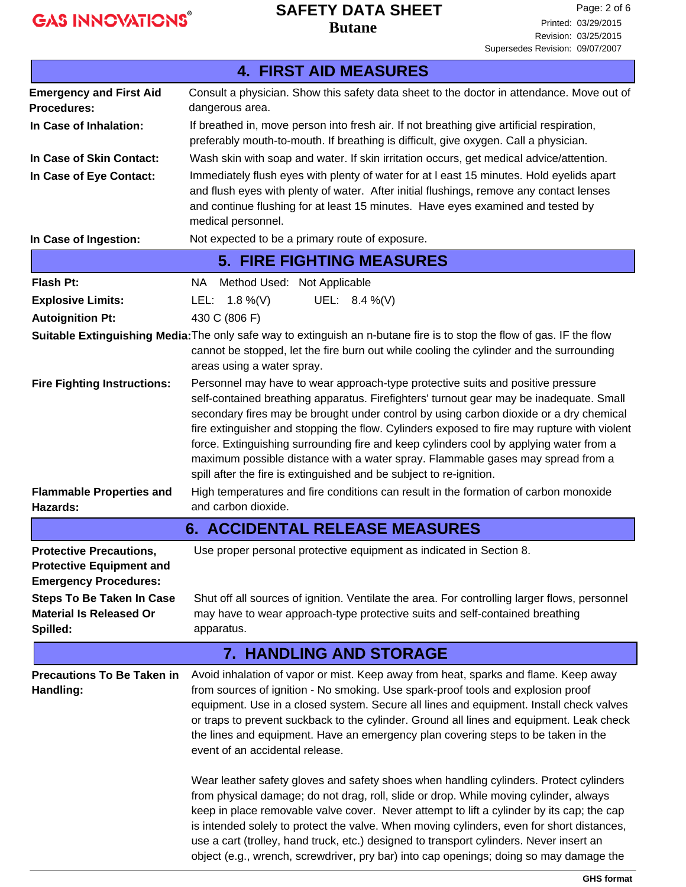### **Butane SAFETY DATA SHEET**

|                                                                                                   | <b>4. FIRST AID MEASURES</b>                                                                                                                                                                                                                                                                                                                                                                                                                                                                                                                                                                                                                                                                                                                                                                                                                                                                                                                                   |  |  |
|---------------------------------------------------------------------------------------------------|----------------------------------------------------------------------------------------------------------------------------------------------------------------------------------------------------------------------------------------------------------------------------------------------------------------------------------------------------------------------------------------------------------------------------------------------------------------------------------------------------------------------------------------------------------------------------------------------------------------------------------------------------------------------------------------------------------------------------------------------------------------------------------------------------------------------------------------------------------------------------------------------------------------------------------------------------------------|--|--|
| <b>Emergency and First Aid</b>                                                                    | Consult a physician. Show this safety data sheet to the doctor in attendance. Move out of                                                                                                                                                                                                                                                                                                                                                                                                                                                                                                                                                                                                                                                                                                                                                                                                                                                                      |  |  |
| <b>Procedures:</b>                                                                                | dangerous area.                                                                                                                                                                                                                                                                                                                                                                                                                                                                                                                                                                                                                                                                                                                                                                                                                                                                                                                                                |  |  |
| In Case of Inhalation:                                                                            | If breathed in, move person into fresh air. If not breathing give artificial respiration,<br>preferably mouth-to-mouth. If breathing is difficult, give oxygen. Call a physician.                                                                                                                                                                                                                                                                                                                                                                                                                                                                                                                                                                                                                                                                                                                                                                              |  |  |
| In Case of Skin Contact:                                                                          | Wash skin with soap and water. If skin irritation occurs, get medical advice/attention.                                                                                                                                                                                                                                                                                                                                                                                                                                                                                                                                                                                                                                                                                                                                                                                                                                                                        |  |  |
| In Case of Eye Contact:                                                                           | Immediately flush eyes with plenty of water for at I east 15 minutes. Hold eyelids apart<br>and flush eyes with plenty of water. After initial flushings, remove any contact lenses<br>and continue flushing for at least 15 minutes. Have eyes examined and tested by                                                                                                                                                                                                                                                                                                                                                                                                                                                                                                                                                                                                                                                                                         |  |  |
|                                                                                                   | medical personnel.                                                                                                                                                                                                                                                                                                                                                                                                                                                                                                                                                                                                                                                                                                                                                                                                                                                                                                                                             |  |  |
| In Case of Ingestion:                                                                             | Not expected to be a primary route of exposure.                                                                                                                                                                                                                                                                                                                                                                                                                                                                                                                                                                                                                                                                                                                                                                                                                                                                                                                |  |  |
|                                                                                                   | <b>5. FIRE FIGHTING MEASURES</b>                                                                                                                                                                                                                                                                                                                                                                                                                                                                                                                                                                                                                                                                                                                                                                                                                                                                                                                               |  |  |
| <b>Flash Pt:</b>                                                                                  | Method Used: Not Applicable<br>NA .                                                                                                                                                                                                                                                                                                                                                                                                                                                                                                                                                                                                                                                                                                                                                                                                                                                                                                                            |  |  |
| <b>Explosive Limits:</b>                                                                          | UEL: 8.4 %(V)<br>LEL: $1.8\%$ (V)                                                                                                                                                                                                                                                                                                                                                                                                                                                                                                                                                                                                                                                                                                                                                                                                                                                                                                                              |  |  |
| <b>Autoignition Pt:</b>                                                                           | 430 C (806 F)                                                                                                                                                                                                                                                                                                                                                                                                                                                                                                                                                                                                                                                                                                                                                                                                                                                                                                                                                  |  |  |
|                                                                                                   | Suitable Extinguishing Media: The only safe way to extinguish an n-butane fire is to stop the flow of gas. IF the flow                                                                                                                                                                                                                                                                                                                                                                                                                                                                                                                                                                                                                                                                                                                                                                                                                                         |  |  |
|                                                                                                   | cannot be stopped, let the fire burn out while cooling the cylinder and the surrounding<br>areas using a water spray.                                                                                                                                                                                                                                                                                                                                                                                                                                                                                                                                                                                                                                                                                                                                                                                                                                          |  |  |
| <b>Fire Fighting Instructions:</b>                                                                | Personnel may have to wear approach-type protective suits and positive pressure<br>self-contained breathing apparatus. Firefighters' turnout gear may be inadequate. Small<br>secondary fires may be brought under control by using carbon dioxide or a dry chemical<br>fire extinguisher and stopping the flow. Cylinders exposed to fire may rupture with violent<br>force. Extinguishing surrounding fire and keep cylinders cool by applying water from a<br>maximum possible distance with a water spray. Flammable gases may spread from a<br>spill after the fire is extinguished and be subject to re-ignition.                                                                                                                                                                                                                                                                                                                                        |  |  |
| <b>Flammable Properties and</b><br>Hazards:                                                       | High temperatures and fire conditions can result in the formation of carbon monoxide<br>and carbon dioxide.                                                                                                                                                                                                                                                                                                                                                                                                                                                                                                                                                                                                                                                                                                                                                                                                                                                    |  |  |
|                                                                                                   | <b>6. ACCIDENTAL RELEASE MEASURES</b>                                                                                                                                                                                                                                                                                                                                                                                                                                                                                                                                                                                                                                                                                                                                                                                                                                                                                                                          |  |  |
| <b>Protective Precautions,</b><br><b>Protective Equipment and</b><br><b>Emergency Procedures:</b> | Use proper personal protective equipment as indicated in Section 8.                                                                                                                                                                                                                                                                                                                                                                                                                                                                                                                                                                                                                                                                                                                                                                                                                                                                                            |  |  |
| <b>Steps To Be Taken In Case</b><br><b>Material Is Released Or</b><br>Spilled:                    | Shut off all sources of ignition. Ventilate the area. For controlling larger flows, personnel<br>may have to wear approach-type protective suits and self-contained breathing<br>apparatus.                                                                                                                                                                                                                                                                                                                                                                                                                                                                                                                                                                                                                                                                                                                                                                    |  |  |
|                                                                                                   | <b>7. HANDLING AND STORAGE</b>                                                                                                                                                                                                                                                                                                                                                                                                                                                                                                                                                                                                                                                                                                                                                                                                                                                                                                                                 |  |  |
| <b>Precautions To Be Taken in</b><br>Handling:                                                    | Avoid inhalation of vapor or mist. Keep away from heat, sparks and flame. Keep away<br>from sources of ignition - No smoking. Use spark-proof tools and explosion proof<br>equipment. Use in a closed system. Secure all lines and equipment. Install check valves<br>or traps to prevent suckback to the cylinder. Ground all lines and equipment. Leak check<br>the lines and equipment. Have an emergency plan covering steps to be taken in the<br>event of an accidental release.<br>Wear leather safety gloves and safety shoes when handling cylinders. Protect cylinders<br>from physical damage; do not drag, roll, slide or drop. While moving cylinder, always<br>keep in place removable valve cover. Never attempt to lift a cylinder by its cap; the cap<br>is intended solely to protect the valve. When moving cylinders, even for short distances,<br>use a cart (trolley, hand truck, etc.) designed to transport cylinders. Never insert an |  |  |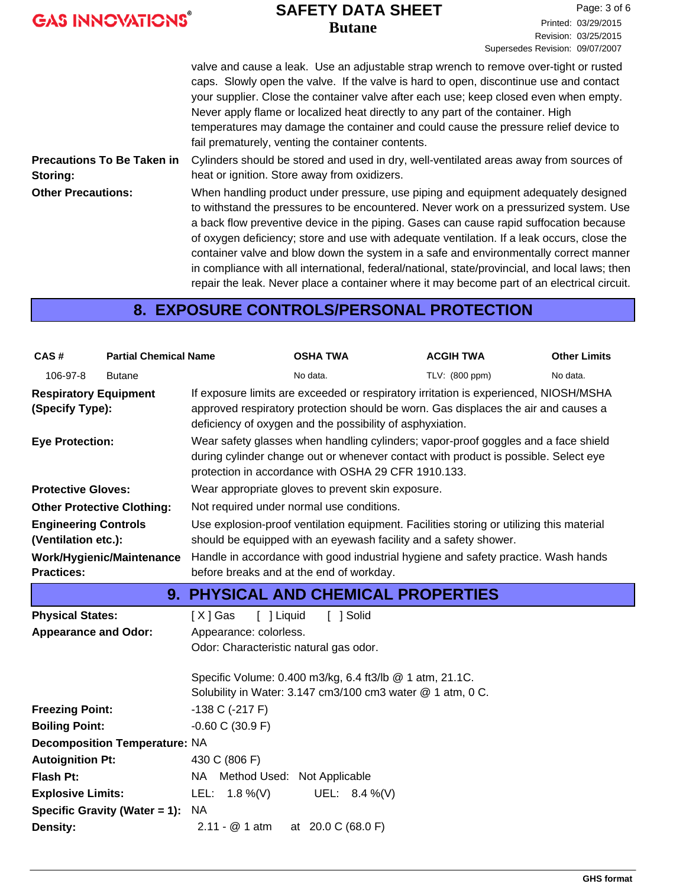| <b>GAS INNOVATIONS®</b> |  |  |
|-------------------------|--|--|
|                         |  |  |

### **Butane SAFETY DATA SHEET**

valve and cause a leak. Use an adjustable strap wrench to remove over-tight or rusted caps. Slowly open the valve. If the valve is hard to open, discontinue use and contact your supplier. Close the container valve after each use; keep closed even when empty. Never apply flame or localized heat directly to any part of the container. High temperatures may damage the container and could cause the pressure relief device to fail prematurely, venting the container contents. Cylinders should be stored and used in dry, well-ventilated areas away from sources of heat or ignition. Store away from oxidizers. **Precautions To Be Taken in Storing:** When handling product under pressure, use piping and equipment adequately designed to withstand the pressures to be encountered. Never work on a pressurized system. Use a back flow preventive device in the piping. Gases can cause rapid suffocation because of oxygen deficiency; store and use with adequate ventilation. If a leak occurs, close the container valve and blow down the system in a safe and environmentally correct manner in compliance with all international, federal/national, state/provincial, and local laws; then repair the leak. Never place a container where it may become part of an electrical circuit. **Other Precautions:**

## **8. EXPOSURE CONTROLS/PERSONAL PROTECTION**

| CAS#                                               | <b>Partial Chemical Name</b>         |                                        | <b>OSHA TWA</b>                                                                                                                                                                                                                         | <b>ACGIH TWA</b> | <b>Other Limits</b> |
|----------------------------------------------------|--------------------------------------|----------------------------------------|-----------------------------------------------------------------------------------------------------------------------------------------------------------------------------------------------------------------------------------------|------------------|---------------------|
| 106-97-8                                           | <b>Butane</b>                        |                                        | No data.                                                                                                                                                                                                                                | TLV: (800 ppm)   | No data.            |
| <b>Respiratory Equipment</b><br>(Specify Type):    |                                      |                                        | If exposure limits are exceeded or respiratory irritation is experienced, NIOSH/MSHA<br>approved respiratory protection should be worn. Gas displaces the air and causes a<br>deficiency of oxygen and the possibility of asphyxiation. |                  |                     |
| <b>Eye Protection:</b>                             |                                      |                                        | Wear safety glasses when handling cylinders; vapor-proof goggles and a face shield<br>during cylinder change out or whenever contact with product is possible. Select eye<br>protection in accordance with OSHA 29 CFR 1910.133.        |                  |                     |
| <b>Protective Gloves:</b>                          |                                      |                                        | Wear appropriate gloves to prevent skin exposure.                                                                                                                                                                                       |                  |                     |
| <b>Other Protective Clothing:</b>                  |                                      |                                        | Not required under normal use conditions.                                                                                                                                                                                               |                  |                     |
| <b>Engineering Controls</b><br>(Ventilation etc.): |                                      |                                        | Use explosion-proof ventilation equipment. Facilities storing or utilizing this material<br>should be equipped with an eyewash facility and a safety shower.                                                                            |                  |                     |
| <b>Practices:</b>                                  | Work/Hygienic/Maintenance            |                                        | Handle in accordance with good industrial hygiene and safety practice. Wash hands<br>before breaks and at the end of workday.                                                                                                           |                  |                     |
|                                                    |                                      |                                        | <b>9. PHYSICAL AND CHEMICAL PROPERTIES</b>                                                                                                                                                                                              |                  |                     |
| <b>Physical States:</b>                            |                                      | [X] Gas<br>[ ] Liquid                  | [ ] Solid                                                                                                                                                                                                                               |                  |                     |
| <b>Appearance and Odor:</b>                        |                                      | Appearance: colorless.                 |                                                                                                                                                                                                                                         |                  |                     |
|                                                    |                                      | Odor: Characteristic natural gas odor. |                                                                                                                                                                                                                                         |                  |                     |
|                                                    |                                      |                                        | Specific Volume: 0.400 m3/kg, 6.4 ft3/lb @ 1 atm, 21.1C.                                                                                                                                                                                |                  |                     |
|                                                    |                                      |                                        | Solubility in Water: 3.147 cm3/100 cm3 water @ 1 atm, 0 C.                                                                                                                                                                              |                  |                     |
| <b>Freezing Point:</b>                             |                                      | $-138$ C $(-217)$ F)                   |                                                                                                                                                                                                                                         |                  |                     |
| <b>Boiling Point:</b>                              |                                      | $-0.60$ C (30.9 F)                     |                                                                                                                                                                                                                                         |                  |                     |
|                                                    | <b>Decomposition Temperature: NA</b> |                                        |                                                                                                                                                                                                                                         |                  |                     |
|                                                    |                                      |                                        |                                                                                                                                                                                                                                         |                  |                     |
| <b>Autoignition Pt:</b>                            |                                      | 430 C (806 F)                          |                                                                                                                                                                                                                                         |                  |                     |
| Flash Pt:                                          |                                      | NA Method Used: Not Applicable         |                                                                                                                                                                                                                                         |                  |                     |
| <b>Explosive Limits:</b>                           |                                      | LEL: $1.8\%$ (V)                       | UEL: $8.4\%$ (V)                                                                                                                                                                                                                        |                  |                     |
| <b>Density:</b>                                    | Specific Gravity (Water = 1):        | <b>NA</b><br>$2.11 - @ 1 atm$          | at 20.0 C (68.0 F)                                                                                                                                                                                                                      |                  |                     |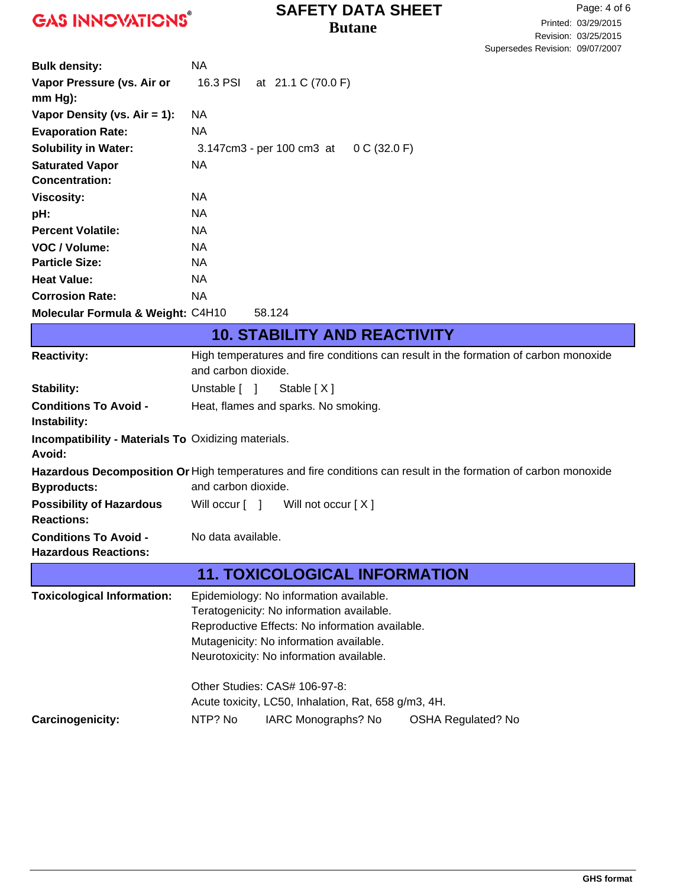### **Butane SAFETY DATA SHEET**

| <b>Bulk density:</b>                                       | <b>NA</b>                                                                                                       |
|------------------------------------------------------------|-----------------------------------------------------------------------------------------------------------------|
| Vapor Pressure (vs. Air or                                 | 16.3 PSI<br>at 21.1 C (70.0 F)                                                                                  |
| $mm Hg$ ):                                                 |                                                                                                                 |
| Vapor Density (vs. $Air = 1$ ):                            | NA                                                                                                              |
| <b>Evaporation Rate:</b>                                   | <b>NA</b>                                                                                                       |
| <b>Solubility in Water:</b>                                | 0 C (32.0 F)<br>3.147cm3 - per 100 cm3 at                                                                       |
| <b>Saturated Vapor</b>                                     | NA                                                                                                              |
| <b>Concentration:</b>                                      |                                                                                                                 |
| <b>Viscosity:</b>                                          | NA                                                                                                              |
| pH:                                                        | <b>NA</b>                                                                                                       |
| <b>Percent Volatile:</b>                                   | <b>NA</b>                                                                                                       |
| VOC / Volume:                                              | <b>NA</b>                                                                                                       |
| <b>Particle Size:</b>                                      | <b>NA</b>                                                                                                       |
| <b>Heat Value:</b>                                         | <b>NA</b>                                                                                                       |
| <b>Corrosion Rate:</b>                                     | <b>NA</b>                                                                                                       |
| Molecular Formula & Weight: C4H10                          | 58.124                                                                                                          |
|                                                            | <b>10. STABILITY AND REACTIVITY</b>                                                                             |
| <b>Reactivity:</b>                                         | High temperatures and fire conditions can result in the formation of carbon monoxide                            |
|                                                            | and carbon dioxide.                                                                                             |
| <b>Stability:</b>                                          | Unstable $\lceil \quad \rceil$<br>Stable [X]                                                                    |
| <b>Conditions To Avoid -</b>                               | Heat, flames and sparks. No smoking.                                                                            |
| Instability:                                               |                                                                                                                 |
| <b>Incompatibility - Materials To Oxidizing materials.</b> |                                                                                                                 |
| Avoid:                                                     |                                                                                                                 |
|                                                            | Hazardous Decomposition Or High temperatures and fire conditions can result in the formation of carbon monoxide |
| <b>Byproducts:</b>                                         | and carbon dioxide.                                                                                             |
| <b>Possibility of Hazardous</b>                            | Will not occur $[X]$<br>Will occur [ ]                                                                          |
| <b>Reactions:</b>                                          |                                                                                                                 |
| <b>Conditions To Avoid -</b>                               | No data available.                                                                                              |
| <b>Hazardous Reactions:</b>                                |                                                                                                                 |
|                                                            | <b>11. TOXICOLOGICAL INFORMATION</b>                                                                            |
| <b>Toxicological Information:</b>                          | Epidemiology: No information available.                                                                         |
|                                                            | Teratogenicity: No information available.                                                                       |
|                                                            | Reproductive Effects: No information available.                                                                 |
|                                                            | Mutagenicity: No information available.                                                                         |
|                                                            | Neurotoxicity: No information available.                                                                        |
|                                                            | Other Studies: CAS# 106-97-8:                                                                                   |
|                                                            | Acute toxicity, LC50, Inhalation, Rat, 658 g/m3, 4H.                                                            |
| <b>Carcinogenicity:</b>                                    | NTP? No<br>IARC Monographs? No<br><b>OSHA Regulated? No</b>                                                     |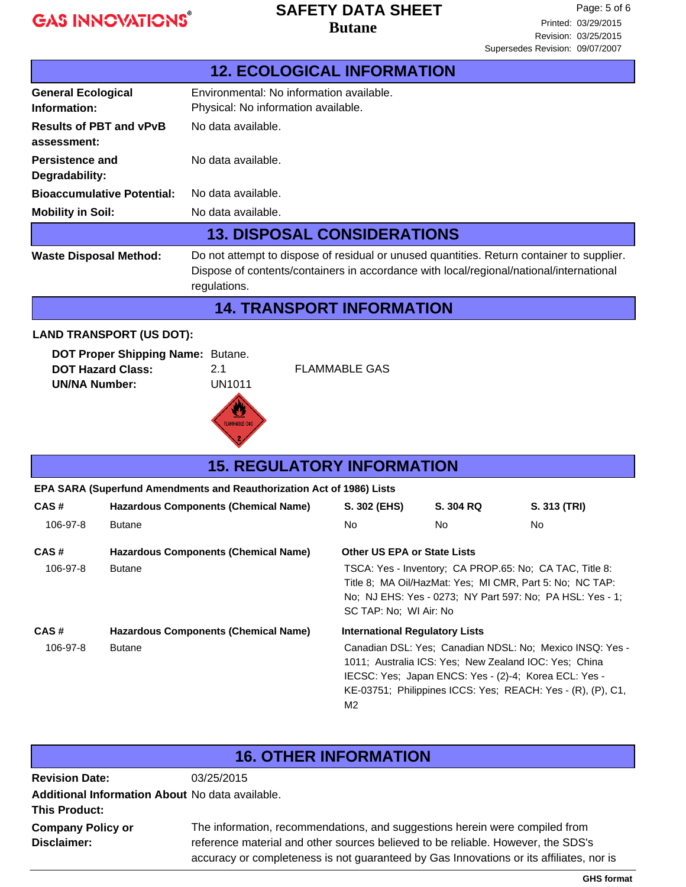### **Butane SAFETY DATA SHEET**

|                                               | <b>12. ECOLOGICAL INFORMATION</b>                                                                                                                                                                    |  |  |
|-----------------------------------------------|------------------------------------------------------------------------------------------------------------------------------------------------------------------------------------------------------|--|--|
| <b>General Ecological</b><br>Information:     | Environmental: No information available.<br>Physical: No information available.                                                                                                                      |  |  |
| <b>Results of PBT and vPvB</b><br>assessment: | No data available.                                                                                                                                                                                   |  |  |
| Persistence and<br>Degradability:             | No data available.                                                                                                                                                                                   |  |  |
| <b>Bioaccumulative Potential:</b>             | No data available.                                                                                                                                                                                   |  |  |
| <b>Mobility in Soil:</b>                      | No data available.                                                                                                                                                                                   |  |  |
| <b>13. DISPOSAL CONSIDERATIONS</b>            |                                                                                                                                                                                                      |  |  |
| <b>Waste Disposal Method:</b>                 | Do not attempt to dispose of residual or unused quantities. Return container to supplier.<br>Dispose of contents/containers in accordance with local/regional/national/international<br>regulations. |  |  |
|                                               | <b>14. TRANSPORT INFORMATION</b>                                                                                                                                                                     |  |  |

#### **LAND TRANSPORT (US DOT):**

| <b>DOT Proper Shipping Name: Butane.</b> |        |
|------------------------------------------|--------|
| <b>DOT Hazard Class:</b>                 | 21     |
| <b>UN/NA Number:</b>                     | UN1011 |



**FLAMMABLE GAS** 

### **CAS # Hazardous Components (Chemical Name) 15. REGULATORY INFORMATION S. 302 (EHS) S. 304 RQ S. 313 (TRI) EPA SARA (Superfund Amendments and Reauthorization Act of 1986) Lists** 106-97-8 Butane No No No **CAS # Hazardous Components (Chemical Name) Other US EPA or State Lists** 106-97-8 Butane TSCA: Yes - Inventory; CA PROP.65: No; CA TAC, Title 8: Title 8; MA Oil/HazMat: Yes; MI CMR, Part 5: No; NC TAP: No; NJ EHS: Yes - 0273; NY Part 597: No; PA HSL: Yes - 1; SC TAP: No; WI Air: No **CAS # Hazardous Components (Chemical Name) International Regulatory Lists** 106-97-8 Butane Canadian DSL: Yes; Canadian NDSL: No; Mexico INSQ: Yes - 1011; Australia ICS: Yes; New Zealand IOC: Yes; China IECSC: Yes; Japan ENCS: Yes - (2)-4; Korea ECL: Yes - KE-03751; Philippines ICCS: Yes; REACH: Yes - (R), (P), C1,

| <b>16. OTHER INFORMATION</b>                                            |                                                                                                                                                                                                                                                            |  |
|-------------------------------------------------------------------------|------------------------------------------------------------------------------------------------------------------------------------------------------------------------------------------------------------------------------------------------------------|--|
| <b>Revision Date:</b>                                                   | 03/25/2015                                                                                                                                                                                                                                                 |  |
| Additional Information About No data available.<br><b>This Product:</b> |                                                                                                                                                                                                                                                            |  |
| <b>Company Policy or</b><br>Disclaimer:                                 | The information, recommendations, and suggestions herein were compiled from<br>reference material and other sources believed to be reliable. However, the SDS's<br>accuracy or completeness is not guaranteed by Gas Innovations or its affiliates, nor is |  |

M2